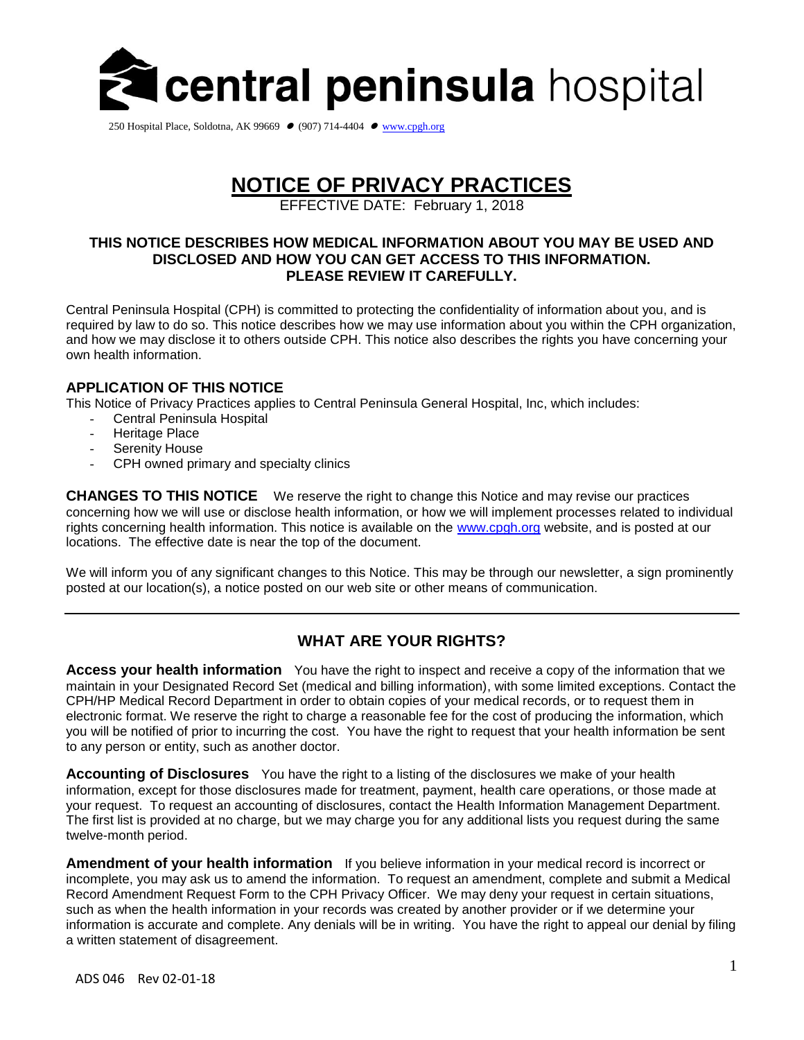

250 Hospital Place, Soldotna, AK 99669 ● (907) 714-4404 ● [www.cpgh.org](http://www.cpgh.org/)

# **NOTICE OF PRIVACY PRACTICES**

EFFECTIVE DATE: February 1, 2018

#### **THIS NOTICE DESCRIBES HOW MEDICAL INFORMATION ABOUT YOU MAY BE USED AND DISCLOSED AND HOW YOU CAN GET ACCESS TO THIS INFORMATION. PLEASE REVIEW IT CAREFULLY.**

Central Peninsula Hospital (CPH) is committed to protecting the confidentiality of information about you, and is required by law to do so. This notice describes how we may use information about you within the CPH organization, and how we may disclose it to others outside CPH. This notice also describes the rights you have concerning your own health information.

# **APPLICATION OF THIS NOTICE**

This Notice of Privacy Practices applies to Central Peninsula General Hospital, Inc, which includes:

- Central Peninsula Hospital
- Heritage Place
- Serenity House
- CPH owned primary and specialty clinics

**CHANGES TO THIS NOTICE** We reserve the right to change this Notice and may revise our practices concerning how we will use or disclose health information, or how we will implement processes related to individual rights concerning health information. This notice is available on the [www.cpgh.org](http://www.cpgh.org/) website, and is posted at our locations. The effective date is near the top of the document.

We will inform you of any significant changes to this Notice. This may be through our newsletter, a sign prominently posted at our location(s), a notice posted on our web site or other means of communication.

# **WHAT ARE YOUR RIGHTS?**

**Access your health information** You have the right to inspect and receive a copy of the information that we maintain in your Designated Record Set (medical and billing information), with some limited exceptions. Contact the CPH/HP Medical Record Department in order to obtain copies of your medical records, or to request them in electronic format. We reserve the right to charge a reasonable fee for the cost of producing the information, which you will be notified of prior to incurring the cost. You have the right to request that your health information be sent to any person or entity, such as another doctor.

**Accounting of Disclosures** You have the right to a listing of the disclosures we make of your health information, except for those disclosures made for treatment, payment, health care operations, or those made at your request. To request an accounting of disclosures, contact the Health Information Management Department. The first list is provided at no charge, but we may charge you for any additional lists you request during the same twelve-month period.

**Amendment of your health information** If you believe information in your medical record is incorrect or incomplete, you may ask us to amend the information. To request an amendment, complete and submit a Medical Record Amendment Request Form to the CPH Privacy Officer. We may deny your request in certain situations, such as when the health information in your records was created by another provider or if we determine your information is accurate and complete. Any denials will be in writing. You have the right to appeal our denial by filing a written statement of disagreement.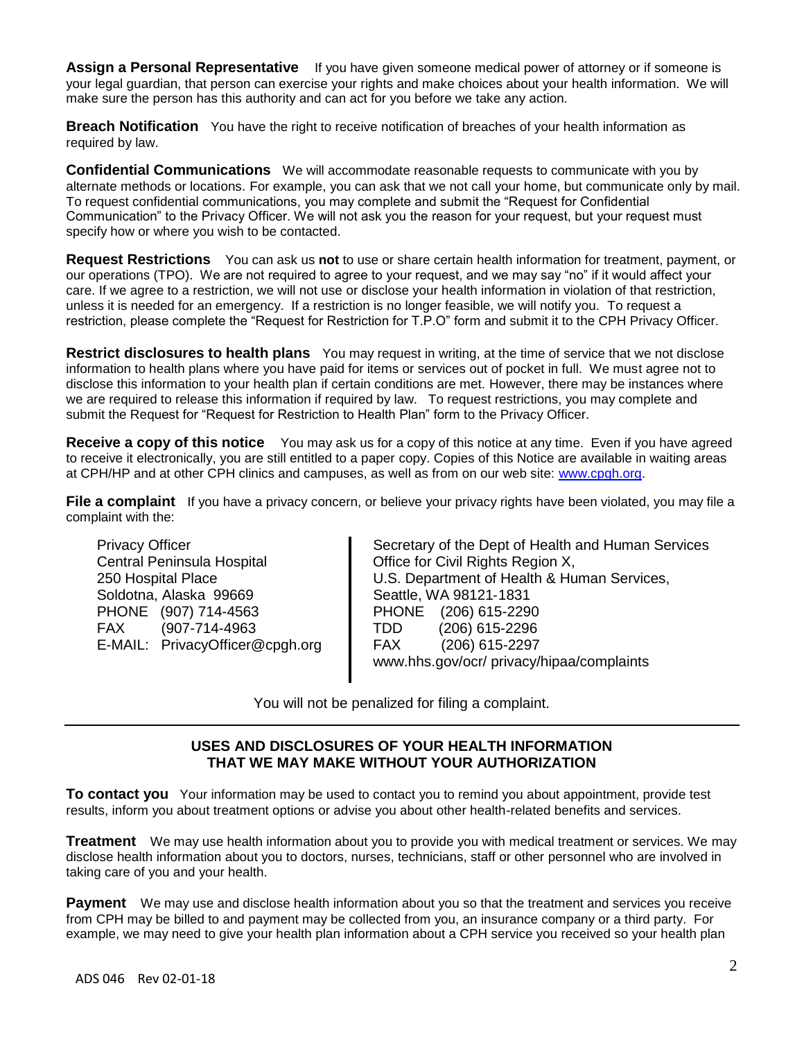**Assign a Personal Representative** If you have given someone medical power of attorney or if someone is your legal guardian, that person can exercise your rights and make choices about your health information. We will make sure the person has this authority and can act for you before we take any action.

**Breach Notification** You have the right to receive notification of breaches of your health information as required by law.

**Confidential Communications** We will accommodate reasonable requests to communicate with you by alternate methods or locations. For example, you can ask that we not call your home, but communicate only by mail. To request confidential communications, you may complete and submit the "Request for Confidential Communication" to the Privacy Officer. We will not ask you the reason for your request, but your request must specify how or where you wish to be contacted.

**Request Restrictions** You can ask us **not** to use or share certain health information for treatment, payment, or our operations (TPO). We are not required to agree to your request, and we may say "no" if it would affect your care. If we agree to a restriction, we will not use or disclose your health information in violation of that restriction, unless it is needed for an emergency. If a restriction is no longer feasible, we will notify you. To request a restriction, please complete the "Request for Restriction for T.P.O" form and submit it to the CPH Privacy Officer.

**Restrict disclosures to health plans** You may request in writing, at the time of service that we not disclose information to health plans where you have paid for items or services out of pocket in full. We must agree not to disclose this information to your health plan if certain conditions are met. However, there may be instances where we are required to release this information if required by law. To request restrictions, you may complete and submit the Request for "Request for Restriction to Health Plan" form to the Privacy Officer.

**Receive a copy of this notice** You may ask us for a copy of this notice at any time. Even if you have agreed to receive it electronically, you are still entitled to a paper copy. Copies of this Notice are available in waiting areas at CPH/HP and at other CPH clinics and campuses, as well as from on our web site: [www.cpgh.org.](http://www.cpgh.org/)

**File a complaint** If you have a privacy concern, or believe your privacy rights have been violated, you may file a complaint with the:

Privacy Officer Central Peninsula Hospital 250 Hospital Place Soldotna, Alaska 99669 PHONE (907) 714-4563 FAX (907-714-4963 E-MAIL: PrivacyOfficer@cpgh.org  Secretary of the Dept of Health and Human Services Office for Civil Rights Region X, U.S. Department of Health & Human Services, Seattle, WA 98121‐1831 PHONE (206) 615-2290 TDD (206) 615-2296 FAX (206) 615-2297 www.hhs.gov/ocr/ privacy/hipaa/complaints

You will not be penalized for filing a complaint.

#### **USES AND DISCLOSURES OF YOUR HEALTH INFORMATION THAT WE MAY MAKE WITHOUT YOUR AUTHORIZATION**

**To contact you** Your information may be used to contact you to remind you about appointment, provide test results, inform you about treatment options or advise you about other health-related benefits and services.

**Treatment** We may use health information about you to provide you with medical treatment or services. We may disclose health information about you to doctors, nurses, technicians, staff or other personnel who are involved in taking care of you and your health.

**Payment** We may use and disclose health information about you so that the treatment and services you receive from CPH may be billed to and payment may be collected from you, an insurance company or a third party. For example, we may need to give your health plan information about a CPH service you received so your health plan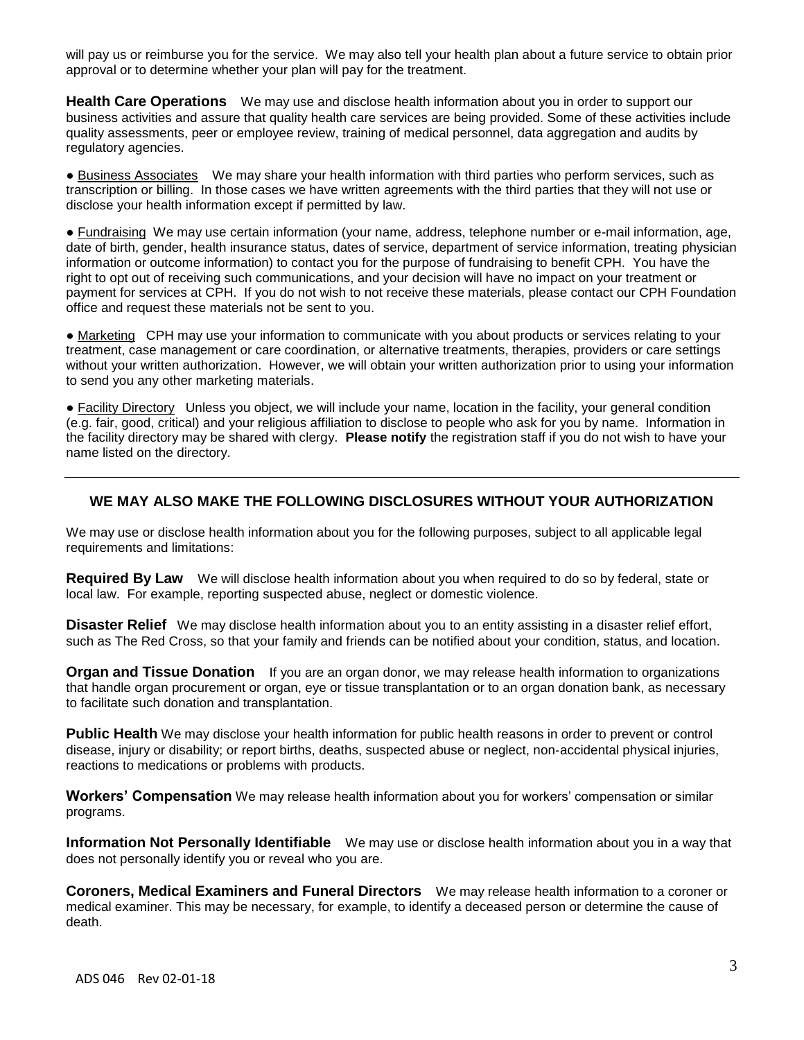will pay us or reimburse you for the service. We may also tell your health plan about a future service to obtain prior approval or to determine whether your plan will pay for the treatment.

**Health Care Operations** We may use and disclose health information about you in order to support our business activities and assure that quality health care services are being provided. Some of these activities include quality assessments, peer or employee review, training of medical personnel, data aggregation and audits by regulatory agencies.

● Business Associates We may share your health information with third parties who perform services, such as transcription or billing. In those cases we have written agreements with the third parties that they will not use or disclose your health information except if permitted by law.

● Fundraising We may use certain information (your name, address, telephone number or e-mail information, age, date of birth, gender, health insurance status, dates of service, department of service information, treating physician information or outcome information) to contact you for the purpose of fundraising to benefit CPH. You have the right to opt out of receiving such communications, and your decision will have no impact on your treatment or payment for services at CPH. If you do not wish to not receive these materials, please contact our CPH Foundation office and request these materials not be sent to you.

● Marketing CPH may use your information to communicate with you about products or services relating to your treatment, case management or care coordination, or alternative treatments, therapies, providers or care settings without your written authorization. However, we will obtain your written authorization prior to using your information to send you any other marketing materials.

● Facility Directory Unless you object, we will include your name, location in the facility, your general condition (e.g. fair, good, critical) and your religious affiliation to disclose to people who ask for you by name. Information in the facility directory may be shared with clergy. **Please notify** the registration staff if you do not wish to have your name listed on the directory.

# **WE MAY ALSO MAKE THE FOLLOWING DISCLOSURES WITHOUT YOUR AUTHORIZATION**

We may use or disclose health information about you for the following purposes, subject to all applicable legal requirements and limitations:

**Required By Law** We will disclose health information about you when required to do so by federal, state or local law. For example, reporting suspected abuse, neglect or domestic violence.

**Disaster Relief** We may disclose health information about you to an entity assisting in a disaster relief effort, such as The Red Cross, so that your family and friends can be notified about your condition, status, and location.

**Organ and Tissue Donation** If you are an organ donor, we may release health information to organizations that handle organ procurement or organ, eye or tissue transplantation or to an organ donation bank, as necessary to facilitate such donation and transplantation.

**Public Health** We may disclose your health information for public health reasons in order to prevent or control disease, injury or disability; or report births, deaths, suspected abuse or neglect, non‐accidental physical injuries, reactions to medications or problems with products.

**Workers' Compensation** We may release health information about you for workers' compensation or similar programs.

**Information Not Personally Identifiable** We may use or disclose health information about you in a way that does not personally identify you or reveal who you are.

**Coroners, Medical Examiners and Funeral Directors** We may release health information to a coroner or medical examiner. This may be necessary, for example, to identify a deceased person or determine the cause of death.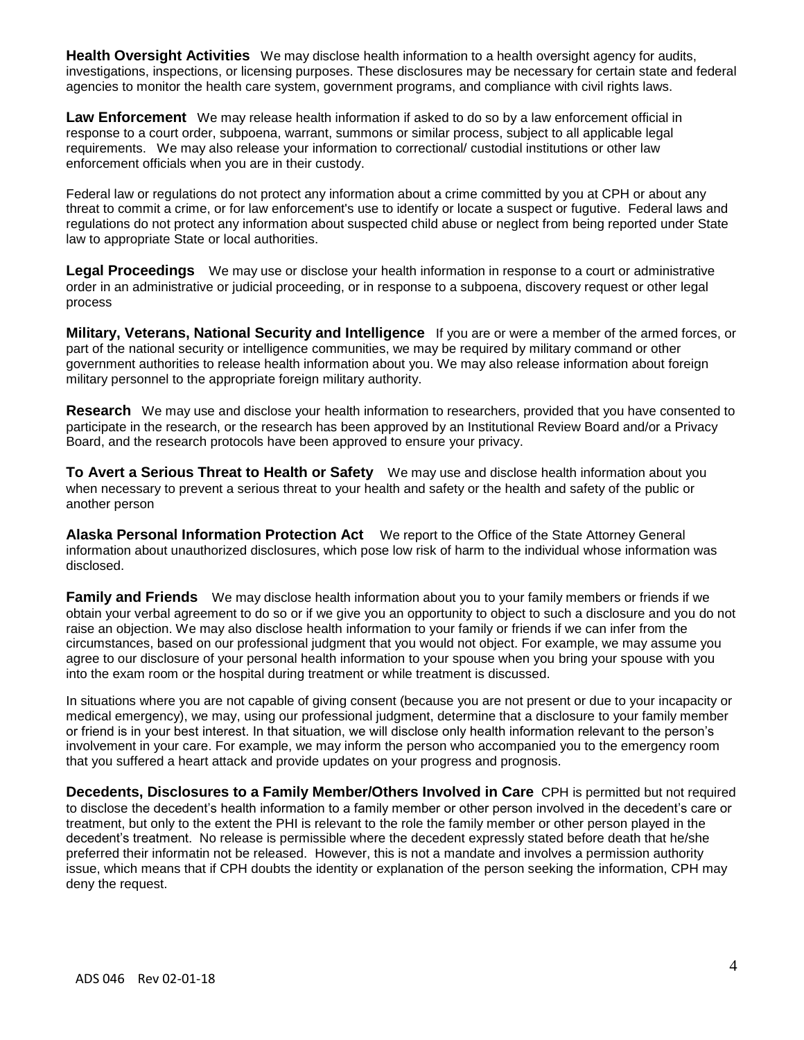**Health Oversight Activities** We may disclose health information to a health oversight agency for audits, investigations, inspections, or licensing purposes. These disclosures may be necessary for certain state and federal agencies to monitor the health care system, government programs, and compliance with civil rights laws.

**Law Enforcement** We may release health information if asked to do so by a law enforcement official in response to a court order, subpoena, warrant, summons or similar process, subject to all applicable legal requirements. We may also release your information to correctional/ custodial institutions or other law enforcement officials when you are in their custody.

Federal law or regulations do not protect any information about a crime committed by you at CPH or about any threat to commit a crime, or for law enforcement's use to identify or locate a suspect or fugutive. Federal laws and regulations do not protect any information about suspected child abuse or neglect from being reported under State law to appropriate State or local authorities.

**Legal Proceedings** We may use or disclose your health information in response to a court or administrative order in an administrative or judicial proceeding, or in response to a subpoena, discovery request or other legal process

**Military, Veterans, National Security and Intelligence** If you are or were a member of the armed forces, or part of the national security or intelligence communities, we may be required by military command or other government authorities to release health information about you. We may also release information about foreign military personnel to the appropriate foreign military authority.

**Research** We may use and disclose your health information to researchers, provided that you have consented to participate in the research, or the research has been approved by an Institutional Review Board and/or a Privacy Board, and the research protocols have been approved to ensure your privacy.

**To Avert a Serious Threat to Health or Safety** We may use and disclose health information about you when necessary to prevent a serious threat to your health and safety or the health and safety of the public or another person

**Alaska Personal Information Protection Act** We report to the Office of the State Attorney General information about unauthorized disclosures, which pose low risk of harm to the individual whose information was disclosed.

**Family and Friends** We may disclose health information about you to your family members or friends if we obtain your verbal agreement to do so or if we give you an opportunity to object to such a disclosure and you do not raise an objection. We may also disclose health information to your family or friends if we can infer from the circumstances, based on our professional judgment that you would not object. For example, we may assume you agree to our disclosure of your personal health information to your spouse when you bring your spouse with you into the exam room or the hospital during treatment or while treatment is discussed.

In situations where you are not capable of giving consent (because you are not present or due to your incapacity or medical emergency), we may, using our professional judgment, determine that a disclosure to your family member or friend is in your best interest. In that situation, we will disclose only health information relevant to the person's involvement in your care. For example, we may inform the person who accompanied you to the emergency room that you suffered a heart attack and provide updates on your progress and prognosis.

**Decedents, Disclosures to a Family Member/Others Involved in Care** CPH is permitted but not required to disclose the decedent's health information to a family member or other person involved in the decedent's care or treatment, but only to the extent the PHI is relevant to the role the family member or other person played in the decedent's treatment. No release is permissible where the decedent expressly stated before death that he/she preferred their informatin not be released. However, this is not a mandate and involves a permission authority issue, which means that if CPH doubts the identity or explanation of the person seeking the information, CPH may deny the request.